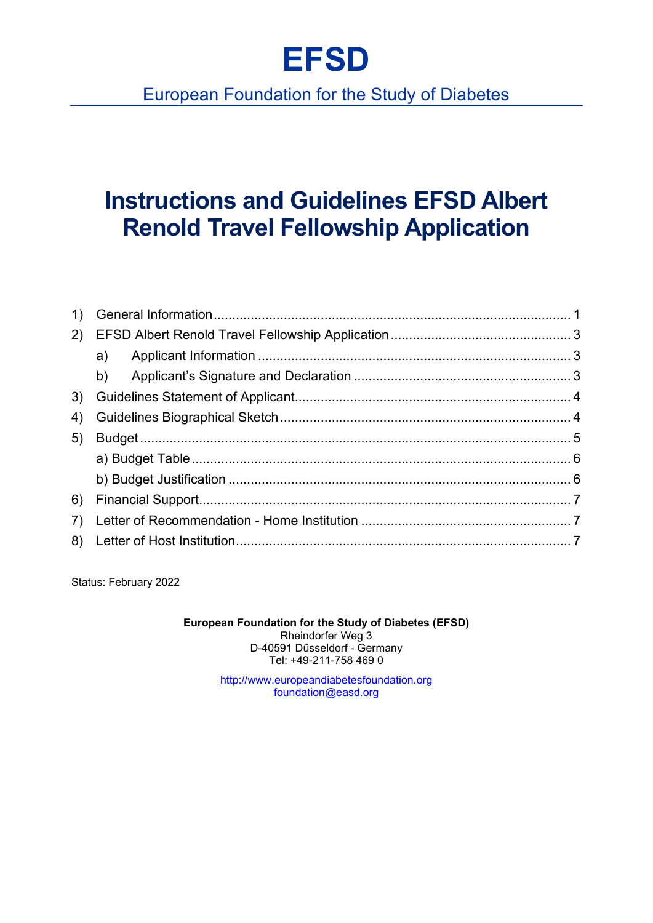# **EFSD**

## European Foundation for the Study of Diabetes

## **Instructions and Guidelines EFSD Albert Renold Travel Fellowship Application**

| (2) |    |  |
|-----|----|--|
|     | a) |  |
|     |    |  |
|     |    |  |
| 4)  |    |  |
| 5)  |    |  |
|     |    |  |
|     |    |  |
| 6)  |    |  |
| 7)  |    |  |
|     |    |  |
|     |    |  |

Status: February 2022

**European Foundation for the Study of Diabetes (EFSD)** Rheindorfer Weg 3 D-40591 Düsseldorf - Germany Tel: +49-211-758 469 0

> [http://www.europeandiabetesfoundation.org](http://www.europeandiabetesfoundation.org/#_blank)  [foundation@easd.org](mailto:foundation@easd.org)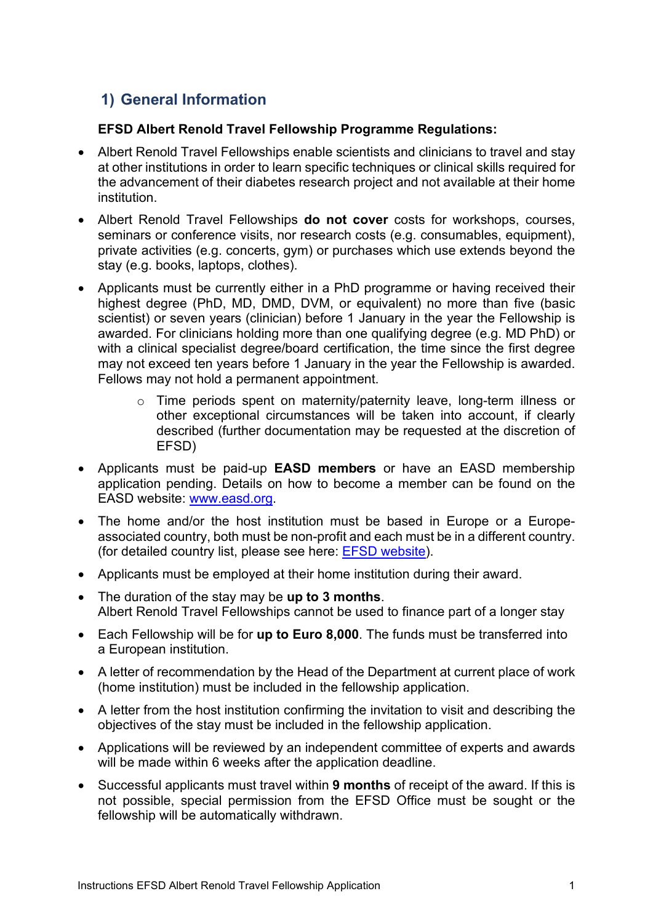## <span id="page-1-0"></span>**1) General Information**

### **EFSD Albert Renold Travel Fellowship Programme Regulations:**

- Albert Renold Travel Fellowships enable scientists and clinicians to travel and stay at other institutions in order to learn specific techniques or clinical skills required for the advancement of their diabetes research project and not available at their home institution.
- Albert Renold Travel Fellowships **do not cover** costs for workshops, courses, seminars or conference visits, nor research costs (e.g. consumables, equipment), private activities (e.g. concerts, gym) or purchases which use extends beyond the stay (e.g. books, laptops, clothes).
- Applicants must be currently either in a PhD programme or having received their highest degree (PhD, MD, DMD, DVM, or equivalent) no more than five (basic scientist) or seven years (clinician) before 1 January in the year the Fellowship is awarded. For clinicians holding more than one qualifying degree (e.g. MD PhD) or with a clinical specialist degree/board certification, the time since the first degree may not exceed ten years before 1 January in the year the Fellowship is awarded. Fellows may not hold a permanent appointment.
	- o Time periods spent on maternity/paternity leave, long-term illness or other exceptional circumstances will be taken into account, if clearly described (further documentation may be requested at the discretion of EFSD)
- Applicants must be paid-up **EASD members** or have an EASD membership application pending. Details on how to become a member can be found on the EASD website: [www.easd.org.](http://www.easd.org/)
- The home and/or the host institution must be based in Europe or a Europeassociated country, both must be non-profit and each must be in a different country. (for detailed country list, please see here: [EFSD website\)](http://www.europeandiabetesfoundation.org/programmes/general-regulations.html).
- Applicants must be employed at their home institution during their award.
- The duration of the stay may be **up to 3 months**. Albert Renold Travel Fellowships cannot be used to finance part of a longer stay
- Each Fellowship will be for **up to Euro 8,000**. The funds must be transferred into a European institution.
- A letter of recommendation by the Head of the Department at current place of work (home institution) must be included in the fellowship application.
- A letter from the host institution confirming the invitation to visit and describing the objectives of the stay must be included in the fellowship application.
- Applications will be reviewed by an independent committee of experts and awards will be made within 6 weeks after the application deadline.
- Successful applicants must travel within **9 months** of receipt of the award. If this is not possible, special permission from the EFSD Office must be sought or the fellowship will be automatically withdrawn.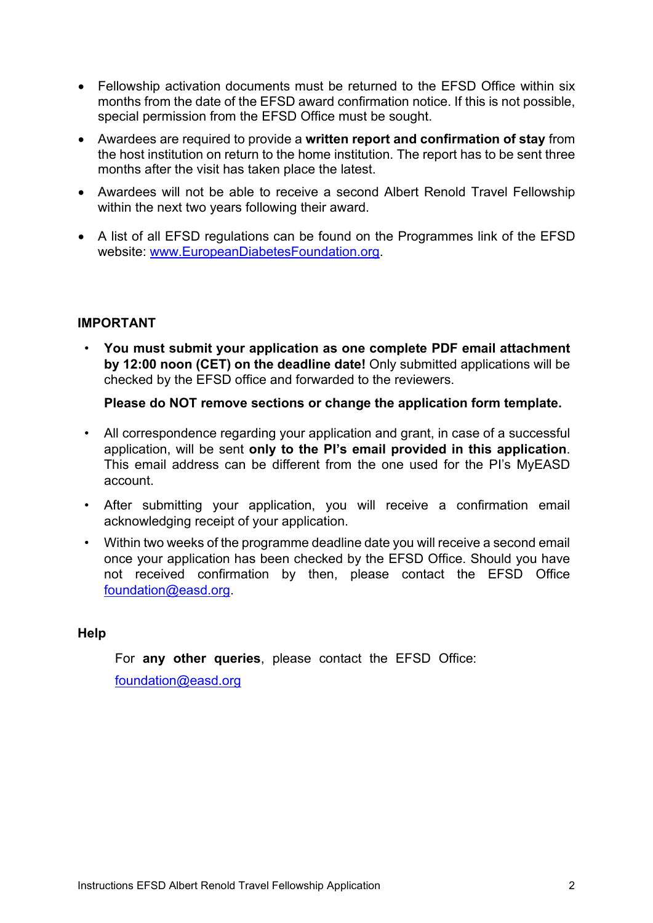- Fellowship activation documents must be returned to the EFSD Office within six months from the date of the EFSD award confirmation notice. If this is not possible, special permission from the EFSD Office must be sought.
- Awardees are required to provide a **written report and confirmation of stay** from the host institution on return to the home institution. The report has to be sent three months after the visit has taken place the latest.
- Awardees will not be able to receive a second Albert Renold Travel Fellowship within the next two years following their award.
- A list of all EFSD regulations can be found on the Programmes link of the EFSD website: [www.EuropeanDiabetesFoundation.org.](http://www.europeandiabetesfoundation.org/)

#### **IMPORTANT**

• **You must submit your application as one complete PDF email attachment by 12:00 noon (CET) on the deadline date!** Only submitted applications will be checked by the EFSD office and forwarded to the reviewers.

**Please do NOT remove sections or change the application form template.**

- All correspondence regarding your application and grant, in case of a successful application, will be sent **only to the PI's email provided in this application**. This email address can be different from the one used for the PI's MyEASD account.
- After submitting your application, you will receive a confirmation email acknowledging receipt of your application.
- Within two weeks of the programme deadline date you will receive a second email once your application has been checked by the EFSD Office. Should you have not received confirmation by then, please contact the EFSD Office [foundation@easd.org.](mailto:foundation@easd.org)

#### **Help**

For **any other queries**, please contact the EFSD Office:

foundation@easd.org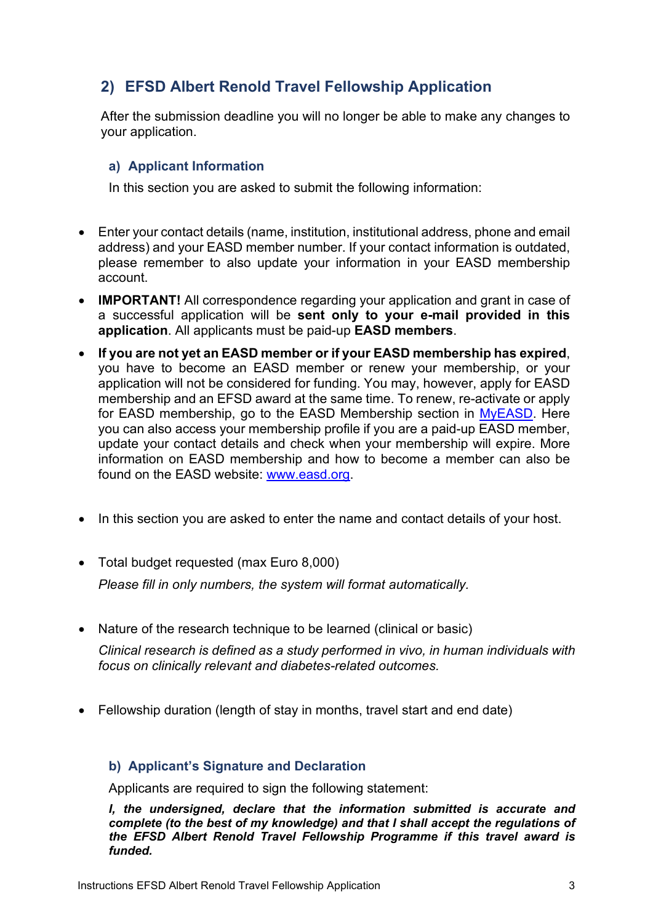## <span id="page-3-0"></span>**2) EFSD Albert Renold Travel Fellowship Application**

After the submission deadline you will no longer be able to make any changes to your application.

### <span id="page-3-1"></span>**a) Applicant Information**

In this section you are asked to submit the following information:

- Enter your contact details (name, institution, institutional address, phone and email address) and your EASD member number. If your contact information is outdated, please remember to also update your information in your EASD membership account.
- **IMPORTANT!** All correspondence regarding your application and grant in case of a successful application will be **sent only to your e-mail provided in this application**. All applicants must be paid-up **EASD members**.
- **If you are not yet an EASD member or if your EASD membership has expired**, you have to become an EASD member or renew your membership, or your application will not be considered for funding. You may, however, apply for EASD membership and an EFSD award at the same time. To renew, re-activate or apply for EASD membership, go to the EASD Membership section in [MyEASD.](https://www.easd.org/myeasd/home.html#logins/new) Here you can also access your membership profile if you are a paid-up EASD member, update your contact details and check when your membership will expire. More information on EASD membership and how to become a member can also be found on the EASD website: [www.easd.org.](http://www.easd.org/)
- In this section you are asked to enter the name and contact details of your host.
- Total budget requested (max Euro 8,000) *Please fill in only numbers, the system will format automatically.*
- Nature of the research technique to be learned (clinical or basic)

*Clinical research is defined as a study performed in vivo, in human individuals with focus on clinically relevant and diabetes-related outcomes.*

• Fellowship duration (length of stay in months, travel start and end date)

#### <span id="page-3-2"></span>**b) Applicant's Signature and Declaration**

Applicants are required to sign the following statement:

*I, the undersigned, declare that the information submitted is accurate and complete (to the best of my knowledge) and that I shall accept the regulations of the EFSD Albert Renold Travel Fellowship Programme if this travel award is funded.*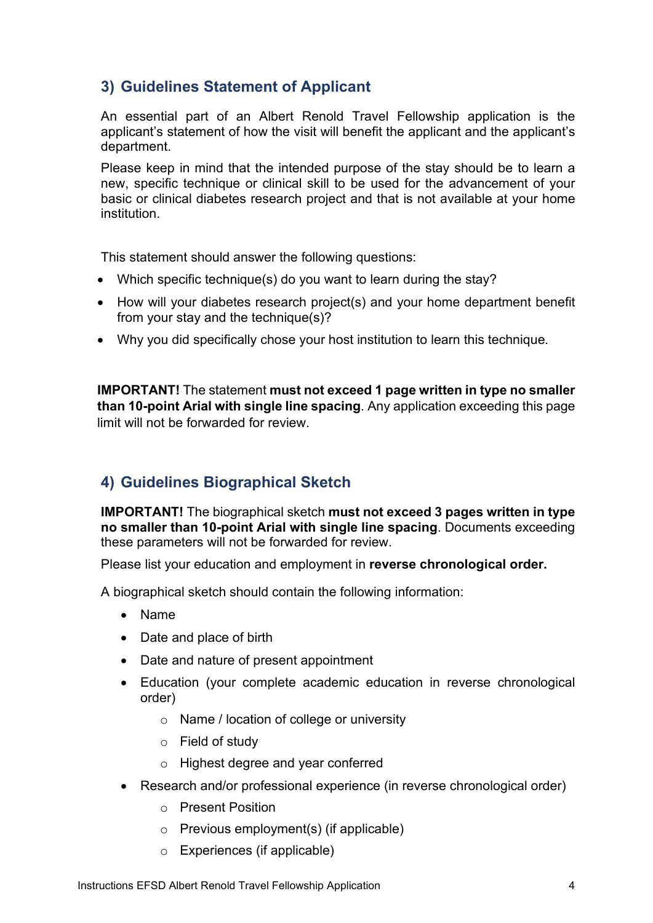## <span id="page-4-0"></span>**3) Guidelines Statement of Applicant**

An essential part of an Albert Renold Travel Fellowship application is the applicant's statement of how the visit will benefit the applicant and the applicant's department.

Please keep in mind that the intended purpose of the stay should be to learn a new, specific technique or clinical skill to be used for the advancement of your basic or clinical diabetes research project and that is not available at your home institution.

This statement should answer the following questions:

- Which specific technique(s) do you want to learn during the stay?
- How will your diabetes research project(s) and your home department benefit from your stay and the technique(s)?
- Why you did specifically chose your host institution to learn this technique*.*

**IMPORTANT!** The statement **must not exceed 1 page written in type no smaller than 10-point Arial with single line spacing**. Any application exceeding this page limit will not be forwarded for review.

## <span id="page-4-1"></span>**4) Guidelines Biographical Sketch**

**IMPORTANT!** The biographical sketch **must not exceed 3 pages written in type no smaller than 10-point Arial with single line spacing**. Documents exceeding these parameters will not be forwarded for review.

Please list your education and employment in **reverse chronological order.**

A biographical sketch should contain the following information:

- Name
- Date and place of birth
- Date and nature of present appointment
- Education (your complete academic education in reverse chronological order)
	- o Name / location of college or university
	- o Field of study
	- o Highest degree and year conferred
- Research and/or professional experience (in reverse chronological order)
	- o Present Position
	- $\circ$  Previous employment(s) (if applicable)
	- o Experiences (if applicable)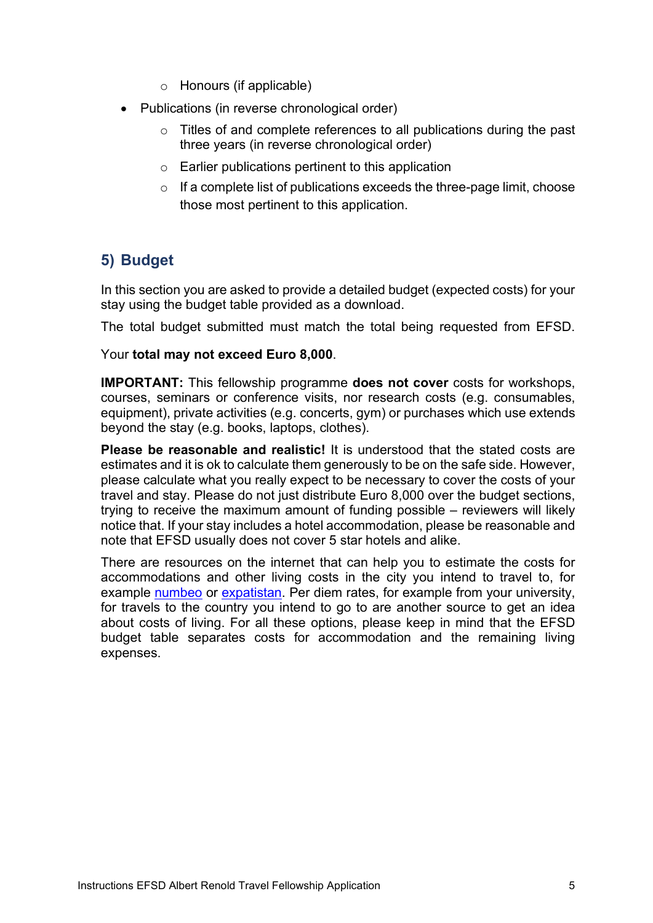- o Honours (if applicable)
- Publications (in reverse chronological order)
	- $\circ$  Titles of and complete references to all publications during the past three years (in reverse chronological order)
	- o Earlier publications pertinent to this application
	- $\circ$  If a complete list of publications exceeds the three-page limit, choose those most pertinent to this application.

## <span id="page-5-0"></span>**5) Budget**

In this section you are asked to provide a detailed budget (expected costs) for your stay using the budget table provided as a download.

The total budget submitted must match the total being requested from EFSD.

#### Your **total may not exceed Euro 8,000**.

**IMPORTANT:** This fellowship programme **does not cover** costs for workshops, courses, seminars or conference visits, nor research costs (e.g. consumables, equipment), private activities (e.g. concerts, gym) or purchases which use extends beyond the stay (e.g. books, laptops, clothes).

**Please be reasonable and realistic!** It is understood that the stated costs are estimates and it is ok to calculate them generously to be on the safe side. However, please calculate what you really expect to be necessary to cover the costs of your travel and stay. Please do not just distribute Euro 8,000 over the budget sections, trying to receive the maximum amount of funding possible – reviewers will likely notice that. If your stay includes a hotel accommodation, please be reasonable and note that EFSD usually does not cover 5 star hotels and alike.

There are resources on the internet that can help you to estimate the costs for accommodations and other living costs in the city you intend to travel to, for example numbeo or expatistan. Per diem rates, for example from your university, for travels to the country you intend to go to are another source to get an idea about costs of living. For all these options, please keep in mind that the EFSD budget table separates costs for accommodation and the remaining living expenses.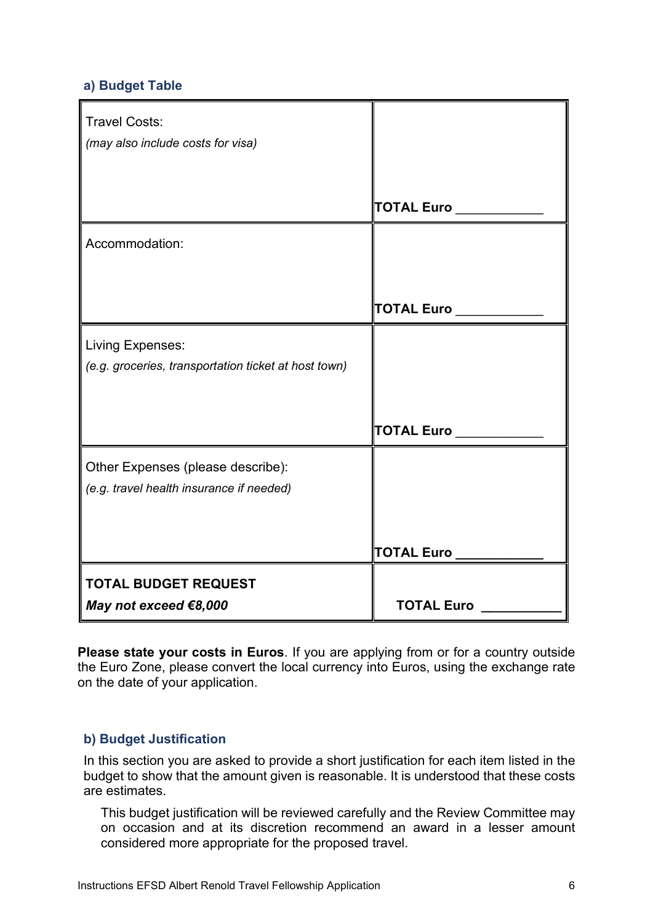#### <span id="page-6-0"></span>**a) Budget Table**

| <b>Travel Costs:</b><br>(may also include costs for visa)                       |                                            |
|---------------------------------------------------------------------------------|--------------------------------------------|
|                                                                                 | $\overline{\phantom{a}}$ TOTAL Euro $\_\_$ |
| Accommodation:                                                                  |                                            |
|                                                                                 | $\ $ TOTAL Euro $\_$                       |
| <b>Living Expenses:</b><br>(e.g. groceries, transportation ticket at host town) |                                            |
|                                                                                 | <b>TOTAL Euro</b>                          |
| Other Expenses (please describe):<br>(e.g. travel health insurance if needed)   |                                            |
|                                                                                 | TOTAL Euro __                              |
| <b>TOTAL BUDGET REQUEST</b>                                                     |                                            |
| May not exceed €8,000                                                           | <b>TOTAL Euro</b>                          |

**Please state your costs in Euros**. If you are applying from or for a country outside the Euro Zone, please convert the local currency into Euros, using the exchange rate on the date of your application.

#### <span id="page-6-1"></span>**b) Budget Justification**

In this section you are asked to provide a short justification for each item listed in the budget to show that the amount given is reasonable. It is understood that these costs are estimates.

This budget justification will be reviewed carefully and the Review Committee may on occasion and at its discretion recommend an award in a lesser amount considered more appropriate for the proposed travel.